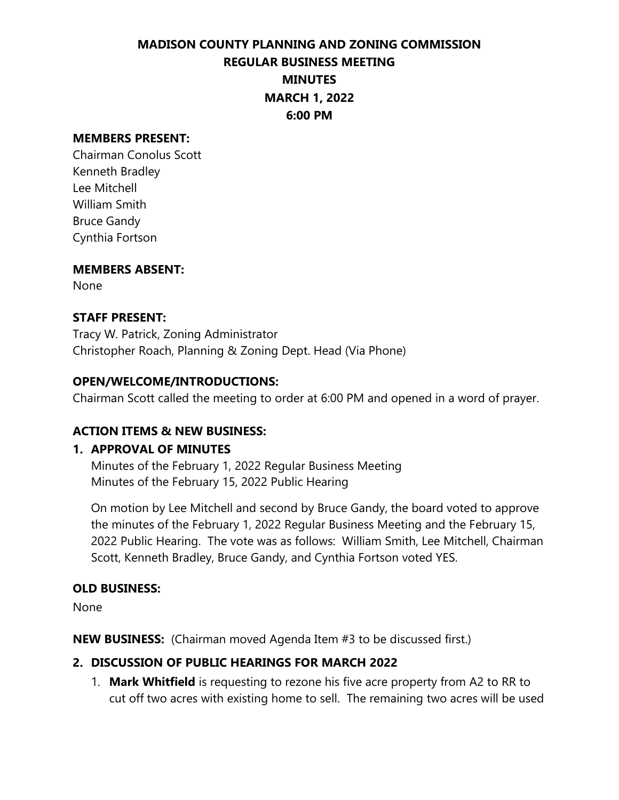# **MADISON COUNTY PLANNING AND ZONING COMMISSION REGULAR BUSINESS MEETING MINUTES MARCH 1, 2022 6:00 PM**

#### **MEMBERS PRESENT:**

Chairman Conolus Scott Kenneth Bradley Lee Mitchell William Smith Bruce Gandy Cynthia Fortson

#### **MEMBERS ABSENT:**

None

#### **STAFF PRESENT:**

Tracy W. Patrick, Zoning Administrator Christopher Roach, Planning & Zoning Dept. Head (Via Phone)

#### **OPEN/WELCOME/INTRODUCTIONS:**

Chairman Scott called the meeting to order at 6:00 PM and opened in a word of prayer.

## **ACTION ITEMS & NEW BUSINESS:**

## **1. APPROVAL OF MINUTES**

Minutes of the February 1, 2022 Regular Business Meeting Minutes of the February 15, 2022 Public Hearing

On motion by Lee Mitchell and second by Bruce Gandy, the board voted to approve the minutes of the February 1, 2022 Regular Business Meeting and the February 15, 2022 Public Hearing. The vote was as follows: William Smith, Lee Mitchell, Chairman Scott, Kenneth Bradley, Bruce Gandy, and Cynthia Fortson voted YES.

## **OLD BUSINESS:**

None

**NEW BUSINESS:** (Chairman moved Agenda Item #3 to be discussed first.)

## **2. DISCUSSION OF PUBLIC HEARINGS FOR MARCH 2022**

1. **Mark Whitfield** is requesting to rezone his five acre property from A2 to RR to cut off two acres with existing home to sell. The remaining two acres will be used